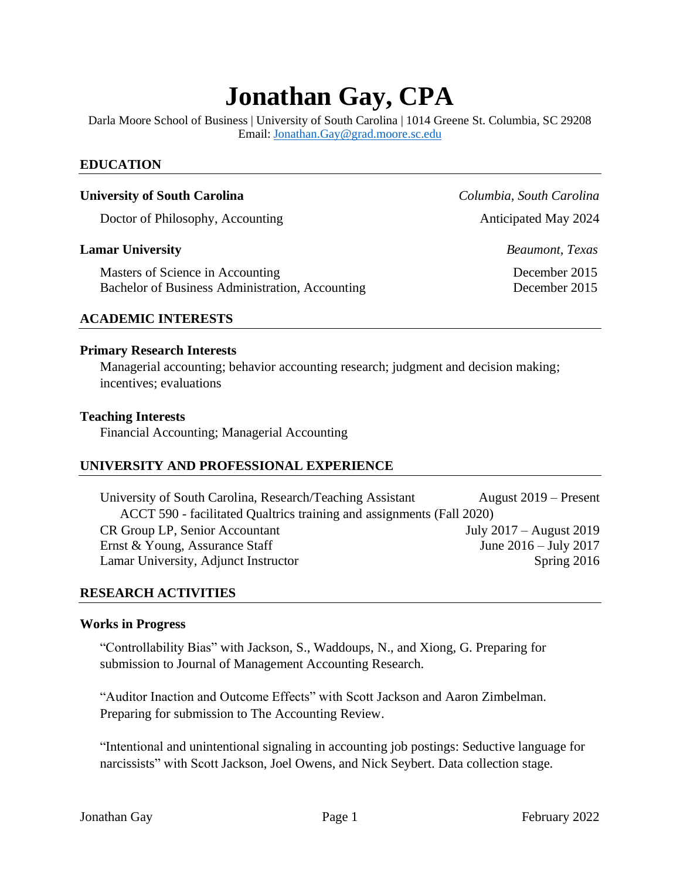# **Jonathan Gay, CPA**

Darla Moore School of Business | University of South Carolina | 1014 Greene St. Columbia, SC 29208 Email: [Jonathan.Gay@grad.moore.sc.edu](mailto:Jonathan.Gay@grad.moore.sc.edu)

## **EDUCATION**

## **University of South Carolina** *Columbia, South Carolina*

Doctor of Philosophy, Accounting Anticipated May 2024

#### **Lamar University** *Beaumont, Texas*

Masters of Science in Accounting December 2015 Bachelor of Business Administration, Accounting December 2015

#### **ACADEMIC INTERESTS**

#### **Primary Research Interests**

Managerial accounting; behavior accounting research; judgment and decision making; incentives; evaluations

#### **Teaching Interests**

Financial Accounting; Managerial Accounting

#### **UNIVERSITY AND PROFESSIONAL EXPERIENCE**

University of South Carolina, Research/Teaching Assistant August 2019 – Present ACCT 590 - facilitated Qualtrics training and assignments (Fall 2020) CR Group LP, Senior Accountant July 2017 – August 2019 Ernst & Young, Assurance Staff June 2016 – July 2017 Lamar University, Adjunct Instructor Spring 2016

#### **RESEARCH ACTIVITIES**

#### **Works in Progress**

"Controllability Bias" with Jackson, S., Waddoups, N., and Xiong, G. Preparing for submission to Journal of Management Accounting Research.

"Auditor Inaction and Outcome Effects" with Scott Jackson and Aaron Zimbelman. Preparing for submission to The Accounting Review.

"Intentional and unintentional signaling in accounting job postings: Seductive language for narcissists" with Scott Jackson, Joel Owens, and Nick Seybert. Data collection stage.

Jonathan Gay **Page 1** Page 1 February 2022